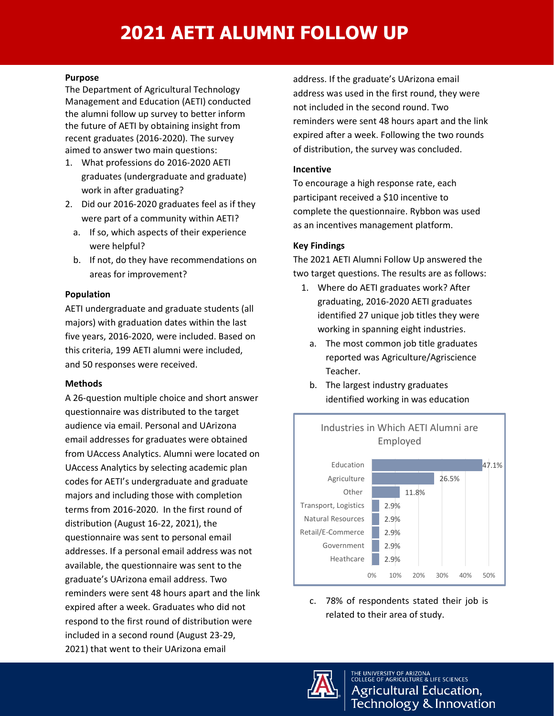# **2021 AETI ALUMNI FOLLOW UP**

#### **Purpose**

The Department of Agricultural Technology Management and Education (AETI) conducted the alumni follow up survey to better inform the future of AETI by obtaining insight from recent graduates (2016-2020). The survey aimed to answer two main questions:

- 1. What professions do 2016-2020 AETI graduates (undergraduate and graduate) work in after graduating?
- 2. Did our 2016-2020 graduates feel as if they were part of a community within AETI?
	- a. If so, which aspects of their experience were helpful?
	- b. If not, do they have recommendations on areas for improvement?

#### **Population**

AETI undergraduate and graduate students (all majors) with graduation dates within the last five years, 2016-2020, were included. Based on this criteria, 199 AETI alumni were included, and 50 responses were received.

#### **Methods**

A 26-question multiple choice and short answer questionnaire was distributed to the target audience via email. Personal and UArizona email addresses for graduates were obtained from UAccess Analytics. Alumni were located on UAccess Analytics by selecting academic plan codes for AETI's undergraduate and graduate majors and including those with completion terms from 2016-2020. In the first round of distribution (August 16-22, 2021), the questionnaire was sent to personal email addresses. If a personal email address was not available, the questionnaire was sent to the graduate's UArizona email address. Two reminders were sent 48 hours apart and the link expired after a week. Graduates who did not respond to the first round of distribution were included in a second round (August 23-29, 2021) that went to their UArizona email

address. If the graduate's UArizona email address was used in the first round, they were not included in the second round. Two reminders were sent 48 hours apart and the link expired after a week. Following the two rounds of distribution, the survey was concluded.

#### **Incentive**

To encourage a high response rate, each participant received a \$10 incentive to complete the questionnaire. Rybbon was used as an incentives management platform.

### **Key Findings**

The 2021 AETI Alumni Follow Up answered the two target questions. The results are as follows:

- 1. Where do AETI graduates work? After graduating, 2016-2020 AETI graduates identified 27 unique job titles they were working in spanning eight industries.
	- a. The most common job title graduates reported was Agriculture/Agriscience Teacher.
	- b. The largest industry graduates identified working in was education



c. 78% of respondents stated their job is related to their area of study.